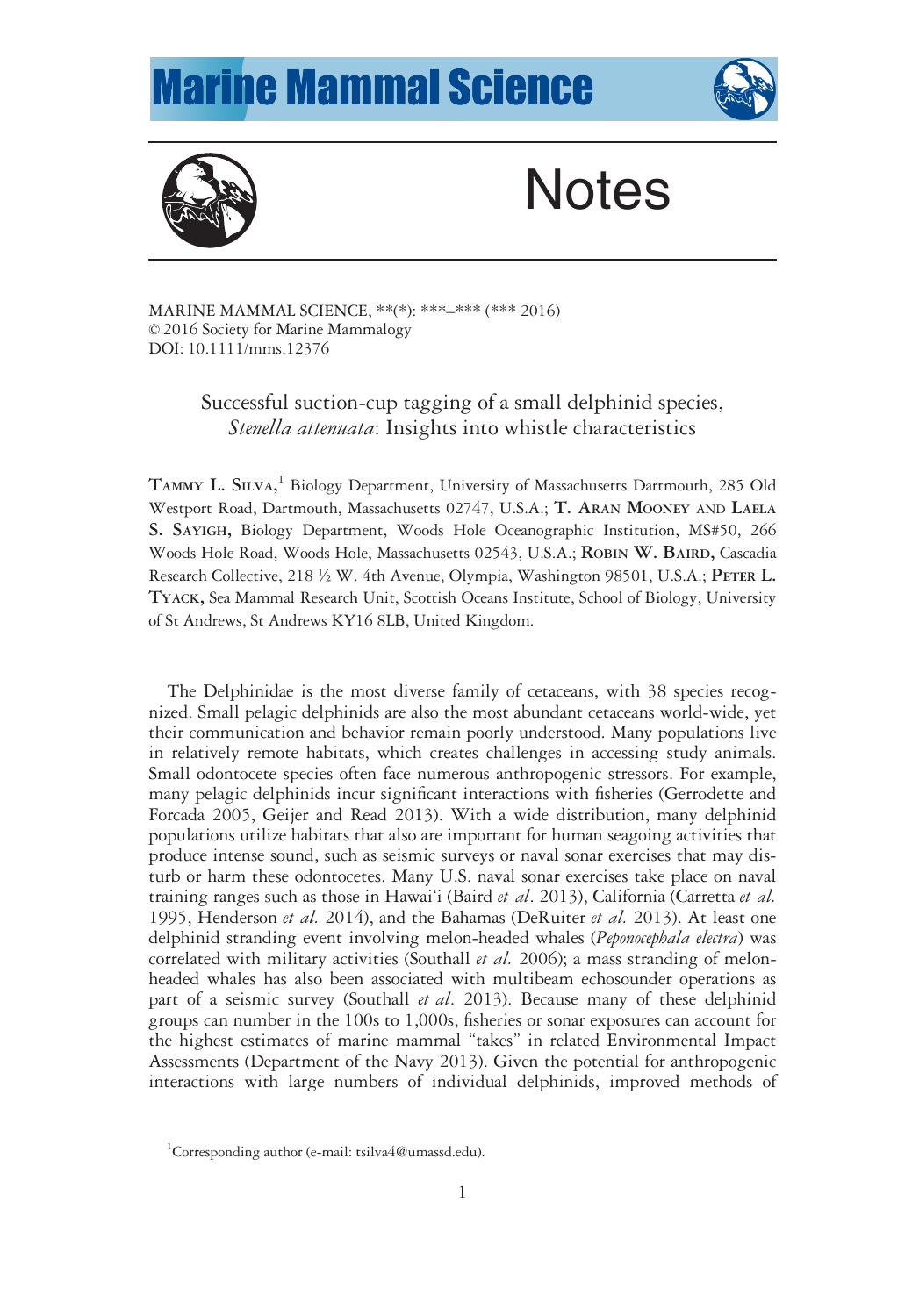## **Marine Mammal Science**





# **Notes**

MARINE MAMMAL SCIENCE, \*\*(\*): \*\*\*–\*\*\* (\*\*\* 2016) © 2016 Society for Marine Mammalogy DOI: 10.1111/mms.12376

## Successful suction-cup tagging of a small delphinid species, Stenella attenuata: Insights into whistle characteristics

TAMMY L. SILVA, <sup>1</sup> Biology Department, University of Massachusetts Dartmouth, 285 Old Westport Road, Dartmouth, Massachusetts 02747, U.S.A.; T. ARAN MOONEY AND LAELA S. SAYIGH, Biology Department, Woods Hole Oceanographic Institution, MS#50, 266 Woods Hole Road, Woods Hole, Massachusetts 02543, U.S.A.; ROBIN W. BAIRD, Cascadia Research Collective, 218 ½ W. 4th Avenue, Olympia, Washington 98501, U.S.A.; PETER L. TYACK, Sea Mammal Research Unit, Scottish Oceans Institute, School of Biology, University of St Andrews, St Andrews KY16 8LB, United Kingdom.

The Delphinidae is the most diverse family of cetaceans, with 38 species recognized. Small pelagic delphinids are also the most abundant cetaceans world-wide, yet their communication and behavior remain poorly understood. Many populations live in relatively remote habitats, which creates challenges in accessing study animals. Small odontocete species often face numerous anthropogenic stressors. For example, many pelagic delphinids incur significant interactions with fisheries (Gerrodette and Forcada 2005, Geijer and Read 2013). With a wide distribution, many delphinid populations utilize habitats that also are important for human seagoing activities that produce intense sound, such as seismic surveys or naval sonar exercises that may disturb or harm these odontocetes. Many U.S. naval sonar exercises take place on naval training ranges such as those in Hawai'i (Baird et al. 2013), California (Carretta et al. 1995, Henderson et al. 2014), and the Bahamas (DeRuiter et al. 2013). At least one delphinid stranding event involving melon-headed whales (*Peponocephala electra*) was correlated with military activities (Southall *et al.* 2006); a mass stranding of melonheaded whales has also been associated with multibeam echosounder operations as part of a seismic survey (Southall et al. 2013). Because many of these delphinid groups can number in the 100s to 1,000s, fisheries or sonar exposures can account for the highest estimates of marine mammal "takes" in related Environmental Impact Assessments (Department of the Navy 2013). Given the potential for anthropogenic interactions with large numbers of individual delphinids, improved methods of

<sup>&</sup>lt;sup>1</sup>Corresponding author (e-mail: [tsilva4@umassd.edu](mailto:tsilva4@umassd.edu)).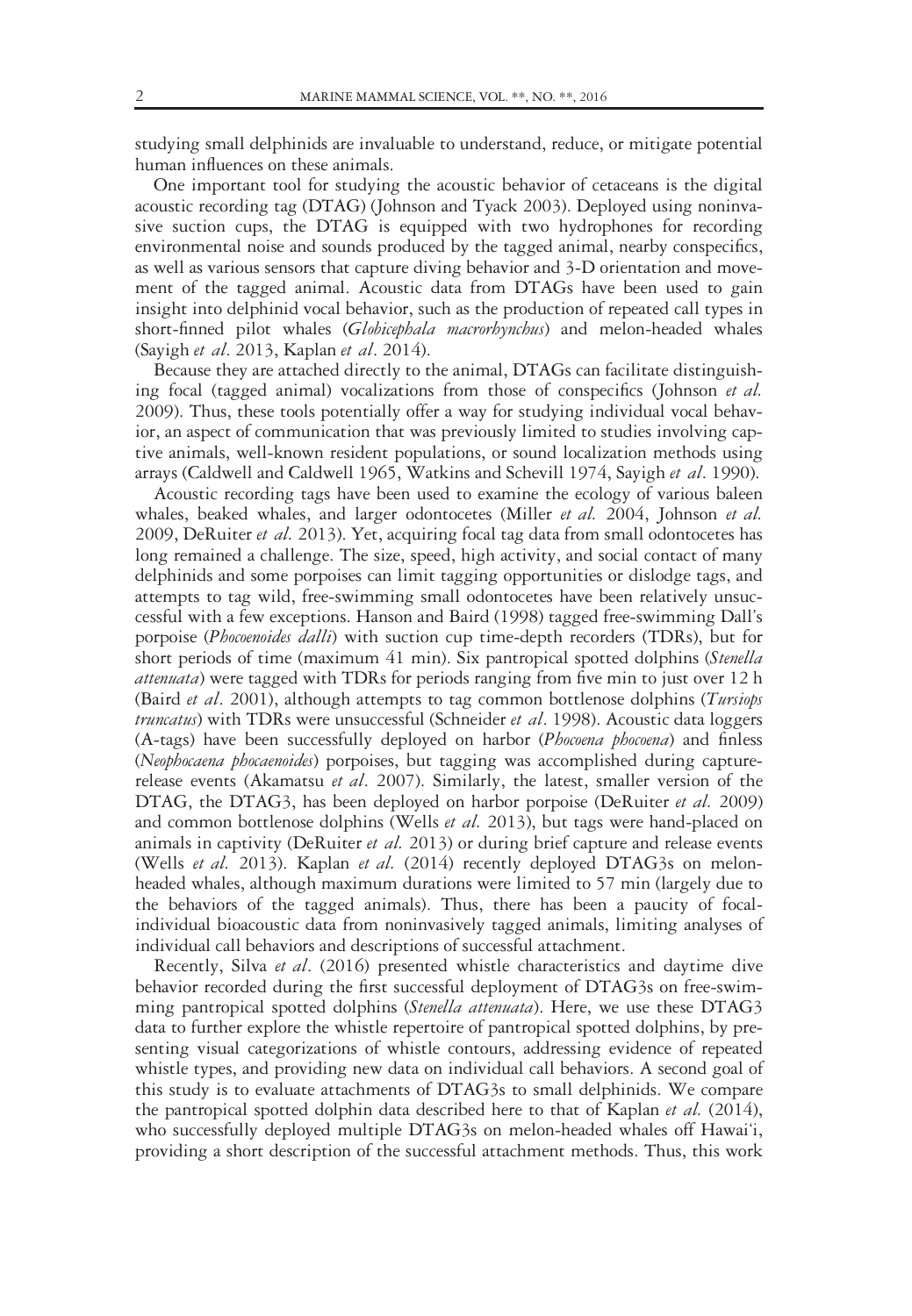studying small delphinids are invaluable to understand, reduce, or mitigate potential human influences on these animals.

One important tool for studying the acoustic behavior of cetaceans is the digital acoustic recording tag (DTAG) (Johnson and Tyack 2003). Deployed using noninvasive suction cups, the DTAG is equipped with two hydrophones for recording environmental noise and sounds produced by the tagged animal, nearby conspecifics, as well as various sensors that capture diving behavior and 3-D orientation and movement of the tagged animal. Acoustic data from DTAGs have been used to gain insight into delphinid vocal behavior, such as the production of repeated call types in short-finned pilot whales (Globicephala macrorhynchus) and melon-headed whales (Sayigh et al. 2013, Kaplan et al. 2014).

Because they are attached directly to the animal, DTAGs can facilitate distinguishing focal (tagged animal) vocalizations from those of conspecifics (Johnson et al. 2009). Thus, these tools potentially offer a way for studying individual vocal behavior, an aspect of communication that was previously limited to studies involving captive animals, well-known resident populations, or sound localization methods using arrays (Caldwell and Caldwell 1965, Watkins and Schevill 1974, Sayigh et al. 1990).

Acoustic recording tags have been used to examine the ecology of various baleen whales, beaked whales, and larger odontocetes (Miller et al. 2004, Johnson et al. 2009, DeRuiter et al. 2013). Yet, acquiring focal tag data from small odontocetes has long remained a challenge. The size, speed, high activity, and social contact of many delphinids and some porpoises can limit tagging opportunities or dislodge tags, and attempts to tag wild, free-swimming small odontocetes have been relatively unsuccessful with a few exceptions. Hanson and Baird (1998) tagged free-swimming Dall's porpoise (Phocoenoides dalli) with suction cup time-depth recorders (TDRs), but for short periods of time (maximum 41 min). Six pantropical spotted dolphins (Stenella attenuata) were tagged with TDRs for periods ranging from five min to just over 12 h (Baird et al. 2001), although attempts to tag common bottlenose dolphins (Tursiops *truncatus*) with TDRs were unsuccessful (Schneider *et al.* 1998). Acoustic data loggers (A-tags) have been successfully deployed on harbor (Phocoena phocoena) and finless (Neophocaena phocaenoides) porpoises, but tagging was accomplished during capturerelease events (Akamatsu et al. 2007). Similarly, the latest, smaller version of the DTAG, the DTAG3, has been deployed on harbor porpoise (DeRuiter et al. 2009) and common bottlenose dolphins (Wells et al. 2013), but tags were hand-placed on animals in captivity (DeRuiter et al. 2013) or during brief capture and release events (Wells et al. 2013). Kaplan et al. (2014) recently deployed DTAG3s on melonheaded whales, although maximum durations were limited to 57 min (largely due to the behaviors of the tagged animals). Thus, there has been a paucity of focalindividual bioacoustic data from noninvasively tagged animals, limiting analyses of individual call behaviors and descriptions of successful attachment.

Recently, Silva et al. (2016) presented whistle characteristics and daytime dive behavior recorded during the first successful deployment of DTAG3s on free-swimming pantropical spotted dolphins (Stenella attenuata). Here, we use these DTAG3 data to further explore the whistle repertoire of pantropical spotted dolphins, by presenting visual categorizations of whistle contours, addressing evidence of repeated whistle types, and providing new data on individual call behaviors. A second goal of this study is to evaluate attachments of DTAG3s to small delphinids. We compare the pantropical spotted dolphin data described here to that of Kaplan *et al.* (2014), who successfully deployed multiple DTAG3s on melon-headed whales off Hawai'i, providing a short description of the successful attachment methods. Thus, this work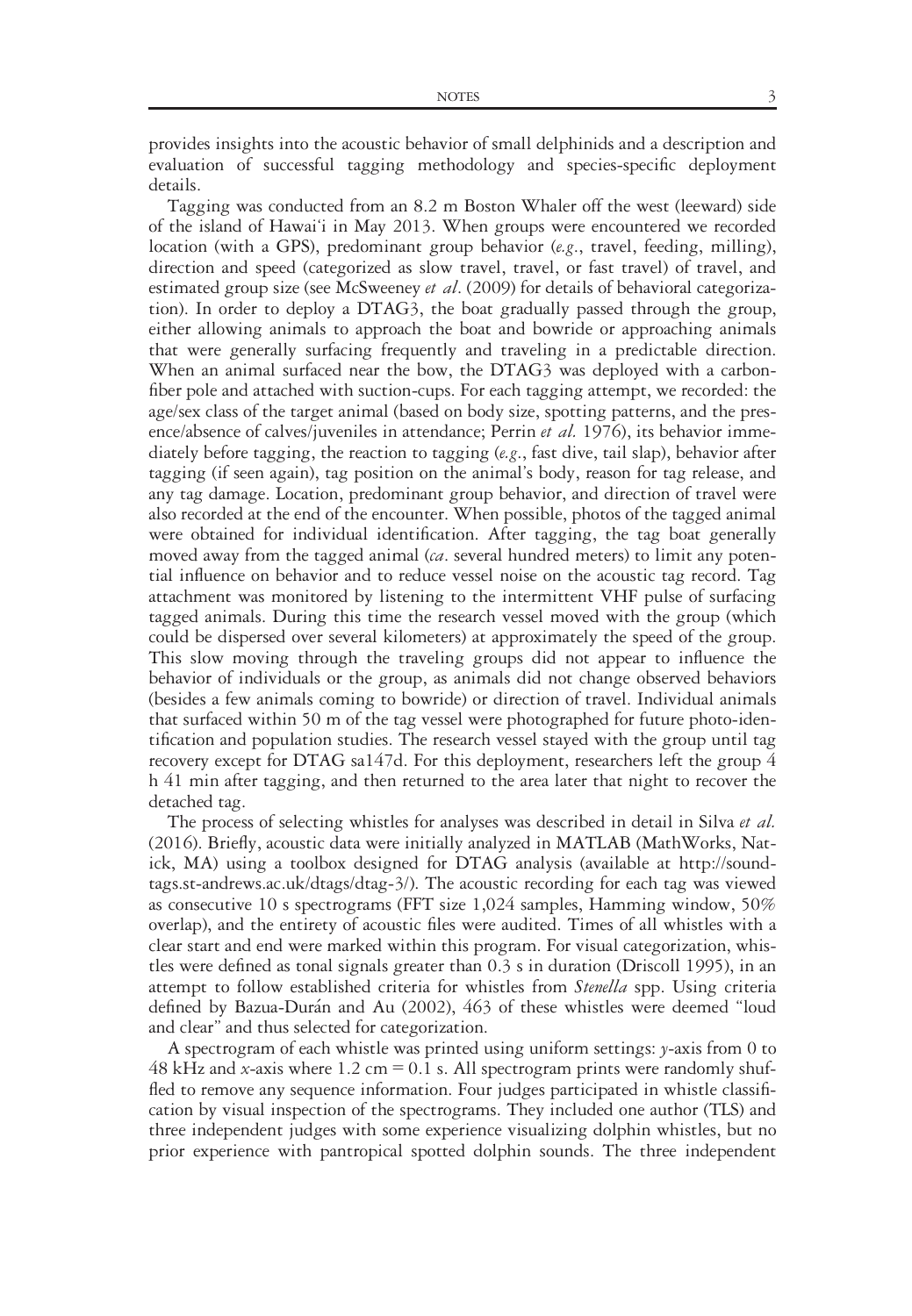provides insights into the acoustic behavior of small delphinids and a description and evaluation of successful tagging methodology and species-specific deployment details.

Tagging was conducted from an 8.2 m Boston Whaler off the west (leeward) side of the island of Hawai'i in May 2013. When groups were encountered we recorded location (with a GPS), predominant group behavior (e.g., travel, feeding, milling), direction and speed (categorized as slow travel, travel, or fast travel) of travel, and estimated group size (see McSweeney *et al.* (2009) for details of behavioral categorization). In order to deploy a DTAG3, the boat gradually passed through the group, either allowing animals to approach the boat and bowride or approaching animals that were generally surfacing frequently and traveling in a predictable direction. When an animal surfaced near the bow, the DTAG3 was deployed with a carbonfiber pole and attached with suction-cups. For each tagging attempt, we recorded: the age/sex class of the target animal (based on body size, spotting patterns, and the presence/absence of calves/juveniles in attendance; Perrin et al. 1976), its behavior immediately before tagging, the reaction to tagging (e.g., fast dive, tail slap), behavior after tagging (if seen again), tag position on the animal's body, reason for tag release, and any tag damage. Location, predominant group behavior, and direction of travel were also recorded at the end of the encounter. When possible, photos of the tagged animal were obtained for individual identification. After tagging, the tag boat generally moved away from the tagged animal  $(c\alpha)$ , several hundred meters) to limit any potential influence on behavior and to reduce vessel noise on the acoustic tag record. Tag attachment was monitored by listening to the intermittent VHF pulse of surfacing tagged animals. During this time the research vessel moved with the group (which could be dispersed over several kilometers) at approximately the speed of the group. This slow moving through the traveling groups did not appear to influence the behavior of individuals or the group, as animals did not change observed behaviors (besides a few animals coming to bowride) or direction of travel. Individual animals that surfaced within 50 m of the tag vessel were photographed for future photo-identification and population studies. The research vessel stayed with the group until tag recovery except for DTAG sa147d. For this deployment, researchers left the group 4 h 41 min after tagging, and then returned to the area later that night to recover the detached tag.

The process of selecting whistles for analyses was described in detail in Silva et al. (2016). Briefly, acoustic data were initially analyzed in MATLAB (MathWorks, Natick, MA) using a toolbox designed for DTAG analysis (available at [http://sound](http://soundtags.st-andrews.ac.uk/dtags/dtag-3/)[tags.st-andrews.ac.uk/dtags/dtag-3/](http://soundtags.st-andrews.ac.uk/dtags/dtag-3/)). The acoustic recording for each tag was viewed as consecutive 10 s spectrograms (FFT size 1,024 samples, Hamming window, 50% overlap), and the entirety of acoustic files were audited. Times of all whistles with a clear start and end were marked within this program. For visual categorization, whistles were defined as tonal signals greater than 0.3 s in duration (Driscoll 1995), in an attempt to follow established criteria for whistles from *Stenella* spp. Using criteria defined by Bazua-Durán and Au (2002), 463 of these whistles were deemed "loud and clear" and thus selected for categorization.

A spectrogram of each whistle was printed using uniform settings: y-axis from 0 to 48 kHz and x-axis where 1.2 cm = 0.1 s. All spectrogram prints were randomly shuffled to remove any sequence information. Four judges participated in whistle classification by visual inspection of the spectrograms. They included one author (TLS) and three independent judges with some experience visualizing dolphin whistles, but no prior experience with pantropical spotted dolphin sounds. The three independent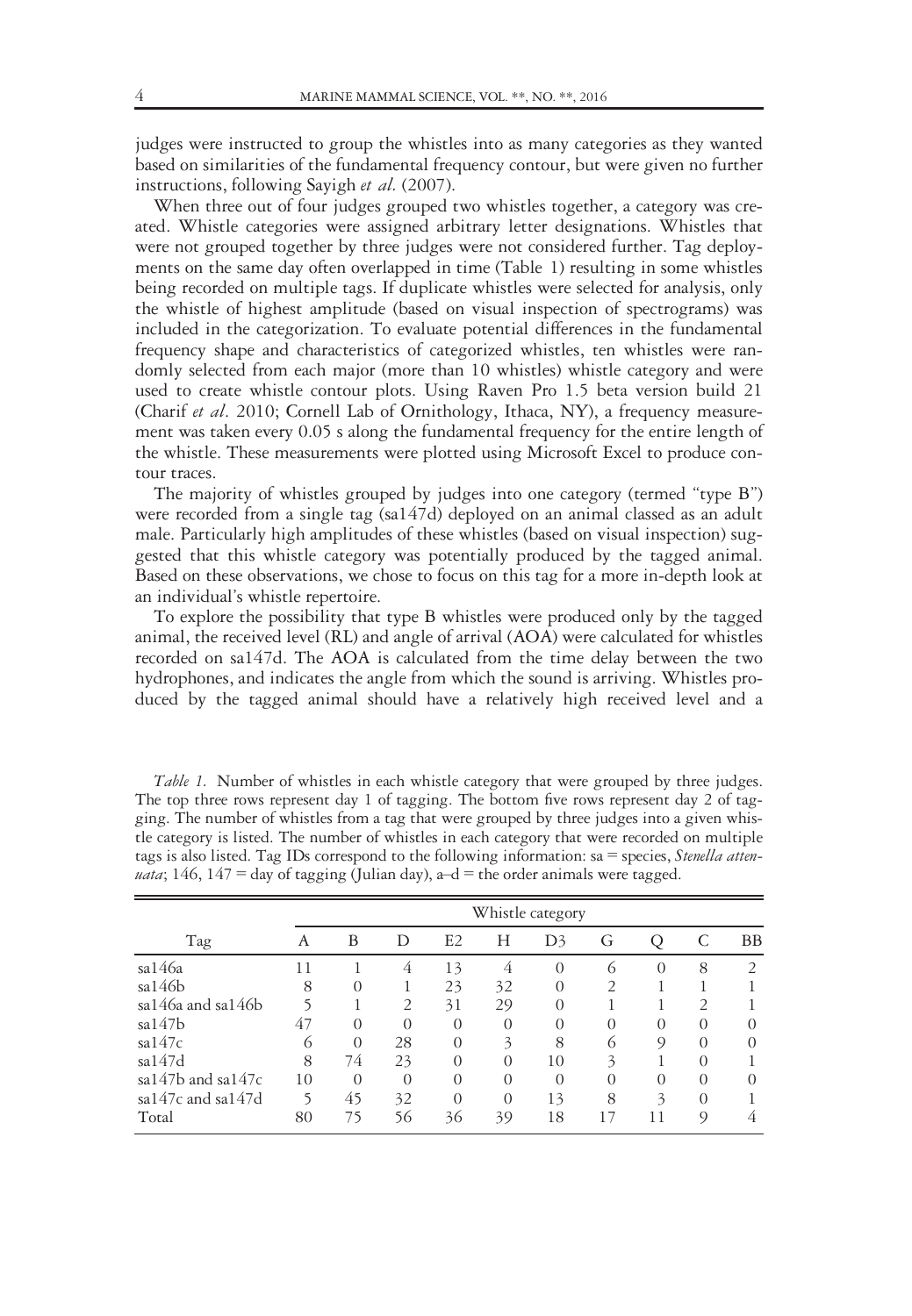judges were instructed to group the whistles into as many categories as they wanted based on similarities of the fundamental frequency contour, but were given no further instructions, following Sayigh et al. (2007).

When three out of four judges grouped two whistles together, a category was created. Whistle categories were assigned arbitrary letter designations. Whistles that were not grouped together by three judges were not considered further. Tag deployments on the same day often overlapped in time (Table 1) resulting in some whistles being recorded on multiple tags. If duplicate whistles were selected for analysis, only the whistle of highest amplitude (based on visual inspection of spectrograms) was included in the categorization. To evaluate potential differences in the fundamental frequency shape and characteristics of categorized whistles, ten whistles were randomly selected from each major (more than 10 whistles) whistle category and were used to create whistle contour plots. Using Raven Pro 1.5 beta version build 21 (Charif et al. 2010; Cornell Lab of Ornithology, Ithaca, NY), a frequency measurement was taken every 0.05 s along the fundamental frequency for the entire length of the whistle. These measurements were plotted using Microsoft Excel to produce contour traces.

The majority of whistles grouped by judges into one category (termed "type B") were recorded from a single tag (sa147d) deployed on an animal classed as an adult male. Particularly high amplitudes of these whistles (based on visual inspection) suggested that this whistle category was potentially produced by the tagged animal. Based on these observations, we chose to focus on this tag for a more in-depth look at an individual's whistle repertoire.

To explore the possibility that type B whistles were produced only by the tagged animal, the received level (RL) and angle of arrival (AOA) were calculated for whistles recorded on sa147d. The AOA is calculated from the time delay between the two hydrophones, and indicates the angle from which the sound is arriving. Whistles produced by the tagged animal should have a relatively high received level and a

Table 1. Number of whistles in each whistle category that were grouped by three judges. The top three rows represent day 1 of tagging. The bottom five rows represent day 2 of tagging. The number of whistles from a tag that were grouped by three judges into a given whistle category is listed. The number of whistles in each category that were recorded on multiple tags is also listed. Tag IDs correspond to the following information: sa = species, Stenella attenuata; 146, 147 = day of tagging (Julian day),  $a-d =$  the order animals were tagged.

|                         |    |          |                |                |          | Whistle category |               |          |               |               |
|-------------------------|----|----------|----------------|----------------|----------|------------------|---------------|----------|---------------|---------------|
| Tag                     | А  | B        | D              | E <sub>2</sub> | Н        | D <sub>3</sub>   | G             |          |               | <b>BB</b>     |
| sa146a                  | 11 |          | 4              | 13             | 4        | $\Omega$         | 6             | $\Omega$ | 8             | $\mathcal{L}$ |
| sa146b                  | 8  | $\Omega$ |                | 23             | 32       | $\Omega$         | $\mathcal{P}$ |          |               |               |
| sa146a and sa146b       |    |          | $\overline{2}$ | 31             | 29       | $\Omega$         |               |          | $\mathcal{P}$ |               |
| sa147b                  | 47 | $\Omega$ | $\Omega$       | $\Omega$       | $\Omega$ | $\Omega$         | $\Omega$      | $\Omega$ | $\Omega$      | $\Omega$      |
| sa147c                  | 6  | $\Omega$ | 28             | $\Omega$       | 3        | 8                |               | $\circ$  | $\Omega$      | $\Omega$      |
| sa147d                  | 8  | 74       | 23             | $\Omega$       | $\Omega$ | 10               | 3             |          | $\Omega$      |               |
| sa $147b$ and sa $147c$ | 10 | $\Omega$ | $\Omega$       | $\Omega$       | $\Omega$ | $\Omega$         | $\Omega$      | $\Omega$ | $\Omega$      | $\Omega$      |
| sa147c and sa147d       | 5  | 45       | 32             | $\Omega$       | $\Omega$ | 13               | 8             | 3        | $\Omega$      |               |
| Total                   | 80 | 75       | 56             | 36             | 39       | 18               | 17            | 11       | 9             |               |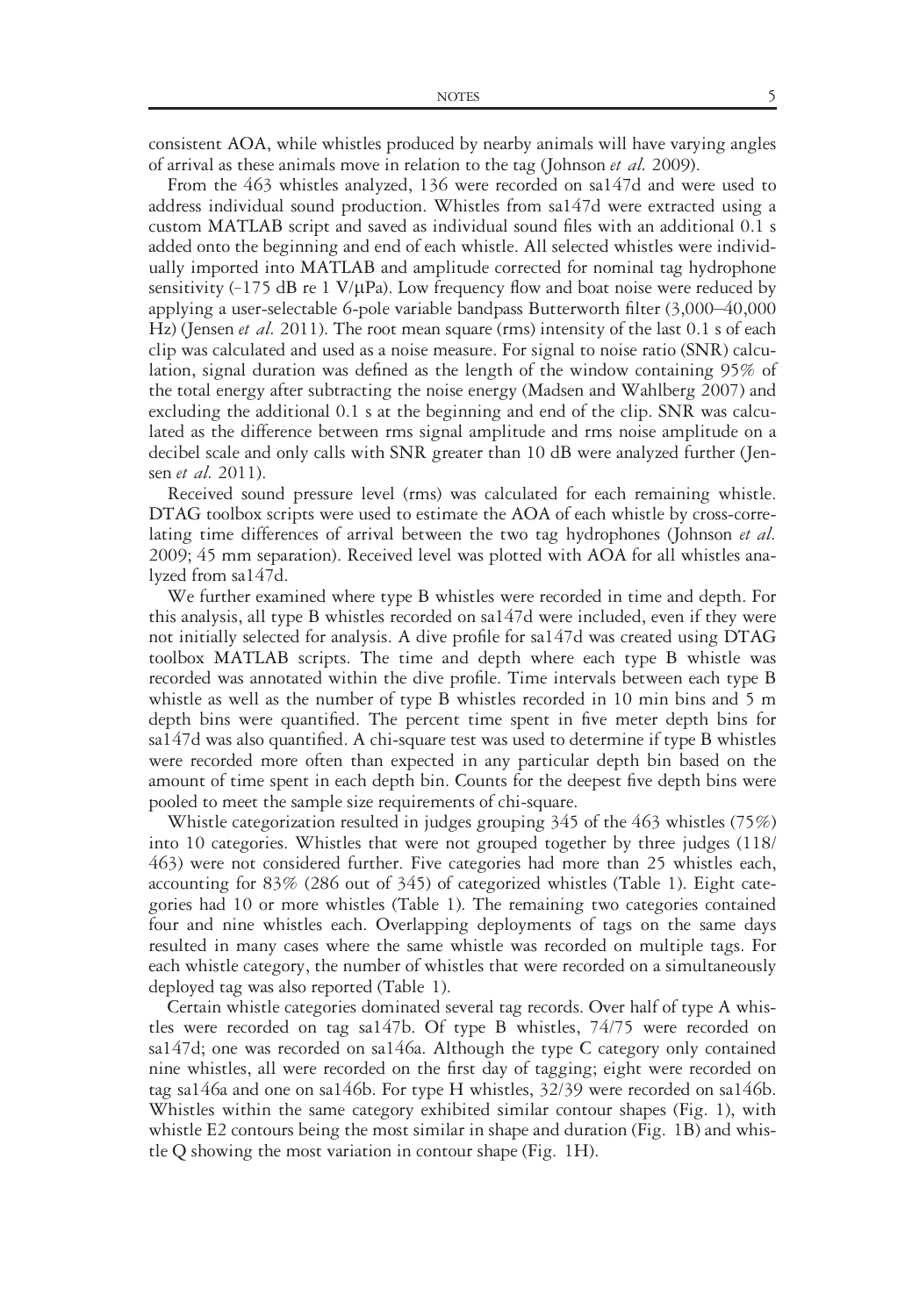consistent AOA, while whistles produced by nearby animals will have varying angles of arrival as these animals move in relation to the tag (Johnson et al. 2009).

From the 463 whistles analyzed, 136 were recorded on sa147d and were used to address individual sound production. Whistles from sa147d were extracted using a custom MATLAB script and saved as individual sound files with an additional 0.1 s added onto the beginning and end of each whistle. All selected whistles were individually imported into MATLAB and amplitude corrected for nominal tag hydrophone sensitivity  $(-175 \text{ dB} \text{ re } 1 \text{ V/}\mu\text{Pa})$ . Low frequency flow and boat noise were reduced by applying a user-selectable 6-pole variable bandpass Butterworth filter (3,000–40,000 Hz) (Jensen et al. 2011). The root mean square (rms) intensity of the last 0.1 s of each clip was calculated and used as a noise measure. For signal to noise ratio (SNR) calculation, signal duration was defined as the length of the window containing 95% of the total energy after subtracting the noise energy (Madsen and Wahlberg 2007) and excluding the additional 0.1 s at the beginning and end of the clip. SNR was calculated as the difference between rms signal amplitude and rms noise amplitude on a decibel scale and only calls with SNR greater than 10 dB were analyzed further (Jensen *et al.* 2011).

Received sound pressure level (rms) was calculated for each remaining whistle. DTAG toolbox scripts were used to estimate the AOA of each whistle by cross-correlating time differences of arrival between the two tag hydrophones (Johnson et al. 2009; 45 mm separation). Received level was plotted with AOA for all whistles analyzed from sa147d.

We further examined where type B whistles were recorded in time and depth. For this analysis, all type B whistles recorded on sa147d were included, even if they were not initially selected for analysis. A dive profile for sa147d was created using DTAG toolbox MATLAB scripts. The time and depth where each type B whistle was recorded was annotated within the dive profile. Time intervals between each type B whistle as well as the number of type B whistles recorded in 10 min bins and 5 m depth bins were quantified. The percent time spent in five meter depth bins for sa147d was also quantified. A chi-square test was used to determine if type B whistles were recorded more often than expected in any particular depth bin based on the amount of time spent in each depth bin. Counts for the deepest five depth bins were pooled to meet the sample size requirements of chi-square.

Whistle categorization resulted in judges grouping 345 of the 463 whistles (75%) into 10 categories. Whistles that were not grouped together by three judges (118/ 463) were not considered further. Five categories had more than 25 whistles each, accounting for 83% (286 out of 345) of categorized whistles (Table 1). Eight categories had 10 or more whistles (Table 1). The remaining two categories contained four and nine whistles each. Overlapping deployments of tags on the same days resulted in many cases where the same whistle was recorded on multiple tags. For each whistle category, the number of whistles that were recorded on a simultaneously deployed tag was also reported (Table 1).

Certain whistle categories dominated several tag records. Over half of type A whistles were recorded on tag sa147b. Of type B whistles, 74/75 were recorded on sa147d; one was recorded on sa146a. Although the type C category only contained nine whistles, all were recorded on the first day of tagging; eight were recorded on tag sa146a and one on sa146b. For type H whistles, 32/39 were recorded on sa146b. Whistles within the same category exhibited similar contour shapes (Fig. 1), with whistle E2 contours being the most similar in shape and duration (Fig. 1B) and whistle Q showing the most variation in contour shape (Fig. 1H).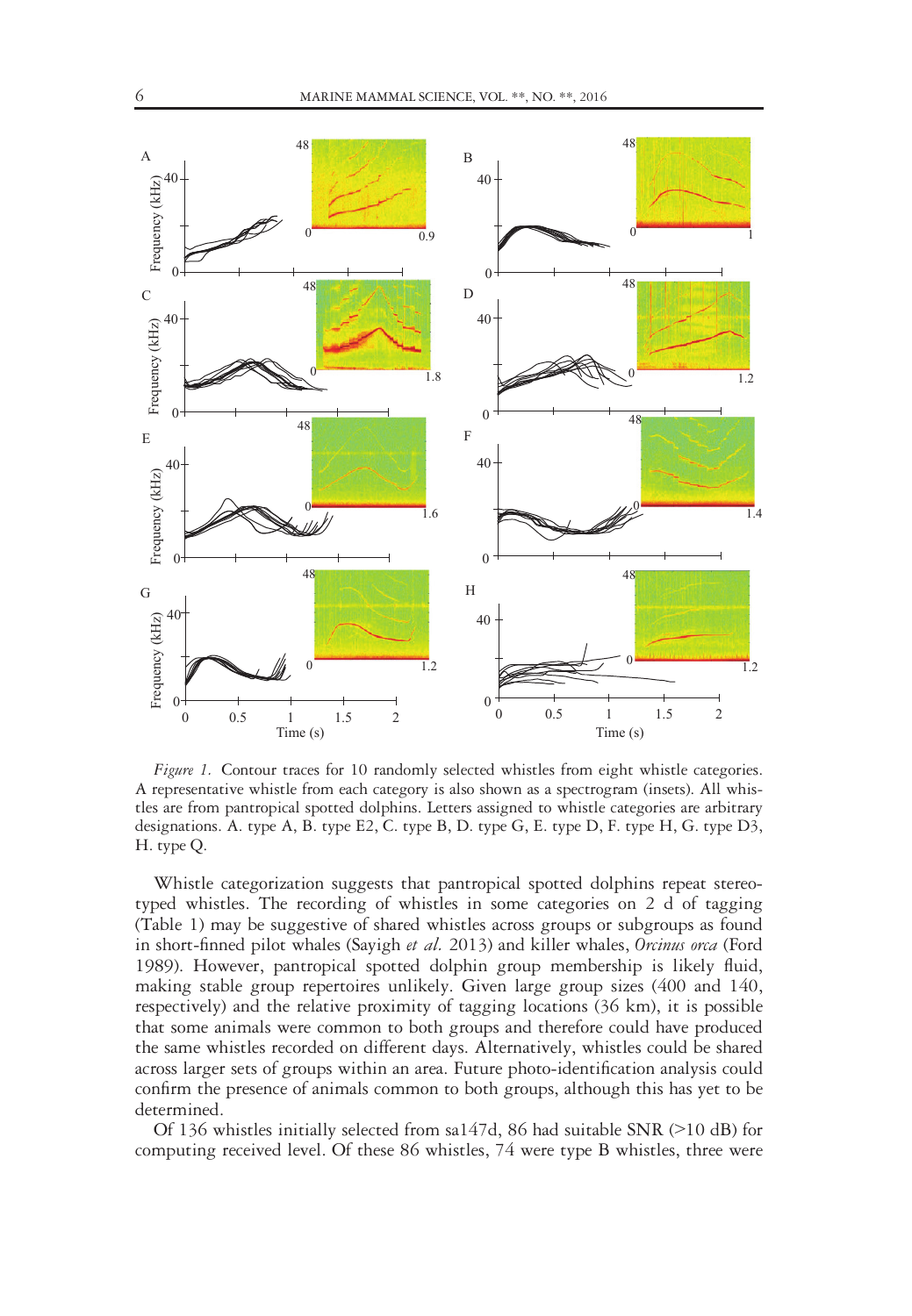

Figure 1. Contour traces for 10 randomly selected whistles from eight whistle categories. A representative whistle from each category is also shown as a spectrogram (insets). All whistles are from pantropical spotted dolphins. Letters assigned to whistle categories are arbitrary designations. A. type A, B. type E2, C. type B, D. type G, E. type D, F. type H, G. type D3, H. type Q.

Whistle categorization suggests that pantropical spotted dolphins repeat stereotyped whistles. The recording of whistles in some categories on 2 d of tagging (Table 1) may be suggestive of shared whistles across groups or subgroups as found in short-finned pilot whales (Sayigh et al. 2013) and killer whales, Orcinus orca (Ford 1989). However, pantropical spotted dolphin group membership is likely fluid, making stable group repertoires unlikely. Given large group sizes (400 and 140, respectively) and the relative proximity of tagging locations (36 km), it is possible that some animals were common to both groups and therefore could have produced the same whistles recorded on different days. Alternatively, whistles could be shared across larger sets of groups within an area. Future photo-identification analysis could confirm the presence of animals common to both groups, although this has yet to be determined.

Of 136 whistles initially selected from sa147d, 86 had suitable SNR (>10 dB) for computing received level. Of these 86 whistles, 74 were type B whistles, three were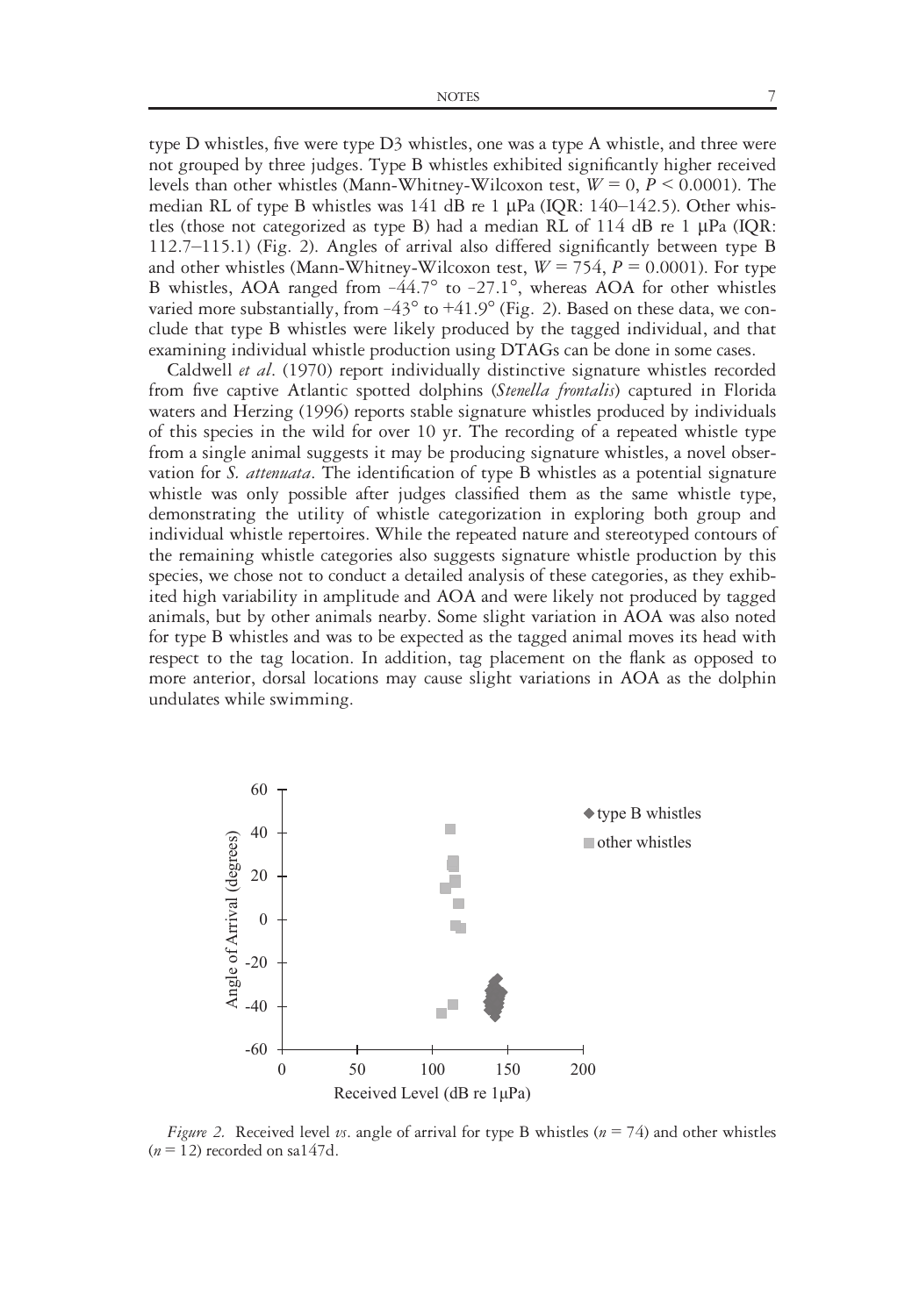type D whistles, five were type D3 whistles, one was a type A whistle, and three were not grouped by three judges. Type B whistles exhibited significantly higher received levels than other whistles (Mann-Whitney-Wilcoxon test,  $W = 0$ ,  $P \le 0.0001$ ). The median RL of type B whistles was  $141$  dB re 1  $\mu$ Pa (IQR: 140–142.5). Other whistles (those not categorized as type B) had a median RL of  $114$  dB re 1  $\mu$ Pa (IQR: 112.7–115.1) (Fig. 2). Angles of arrival also differed significantly between type B and other whistles (Mann-Whitney-Wilcoxon test,  $W = 754$ ,  $P = 0.0001$ ). For type B whistles, AOA ranged from  $-44.7^\circ$  to  $-27.1^\circ$ , whereas AOA for other whistles varied more substantially, from  $-43^{\circ}$  to  $+41.9^{\circ}$  (Fig. 2). Based on these data, we conclude that type B whistles were likely produced by the tagged individual, and that examining individual whistle production using DTAGs can be done in some cases.

Caldwell et al. (1970) report individually distinctive signature whistles recorded from five captive Atlantic spotted dolphins (Stenella frontalis) captured in Florida waters and Herzing (1996) reports stable signature whistles produced by individuals of this species in the wild for over 10 yr. The recording of a repeated whistle type from a single animal suggests it may be producing signature whistles, a novel observation for *S. attenuata*. The identification of type B whistles as a potential signature whistle was only possible after judges classified them as the same whistle type, demonstrating the utility of whistle categorization in exploring both group and individual whistle repertoires. While the repeated nature and stereotyped contours of the remaining whistle categories also suggests signature whistle production by this species, we chose not to conduct a detailed analysis of these categories, as they exhibited high variability in amplitude and AOA and were likely not produced by tagged animals, but by other animals nearby. Some slight variation in AOA was also noted for type B whistles and was to be expected as the tagged animal moves its head with respect to the tag location. In addition, tag placement on the flank as opposed to more anterior, dorsal locations may cause slight variations in AOA as the dolphin undulates while swimming.



Figure 2. Received level vs. angle of arrival for type B whistles ( $n = 74$ ) and other whistles  $(n = 12)$  recorded on sa147d.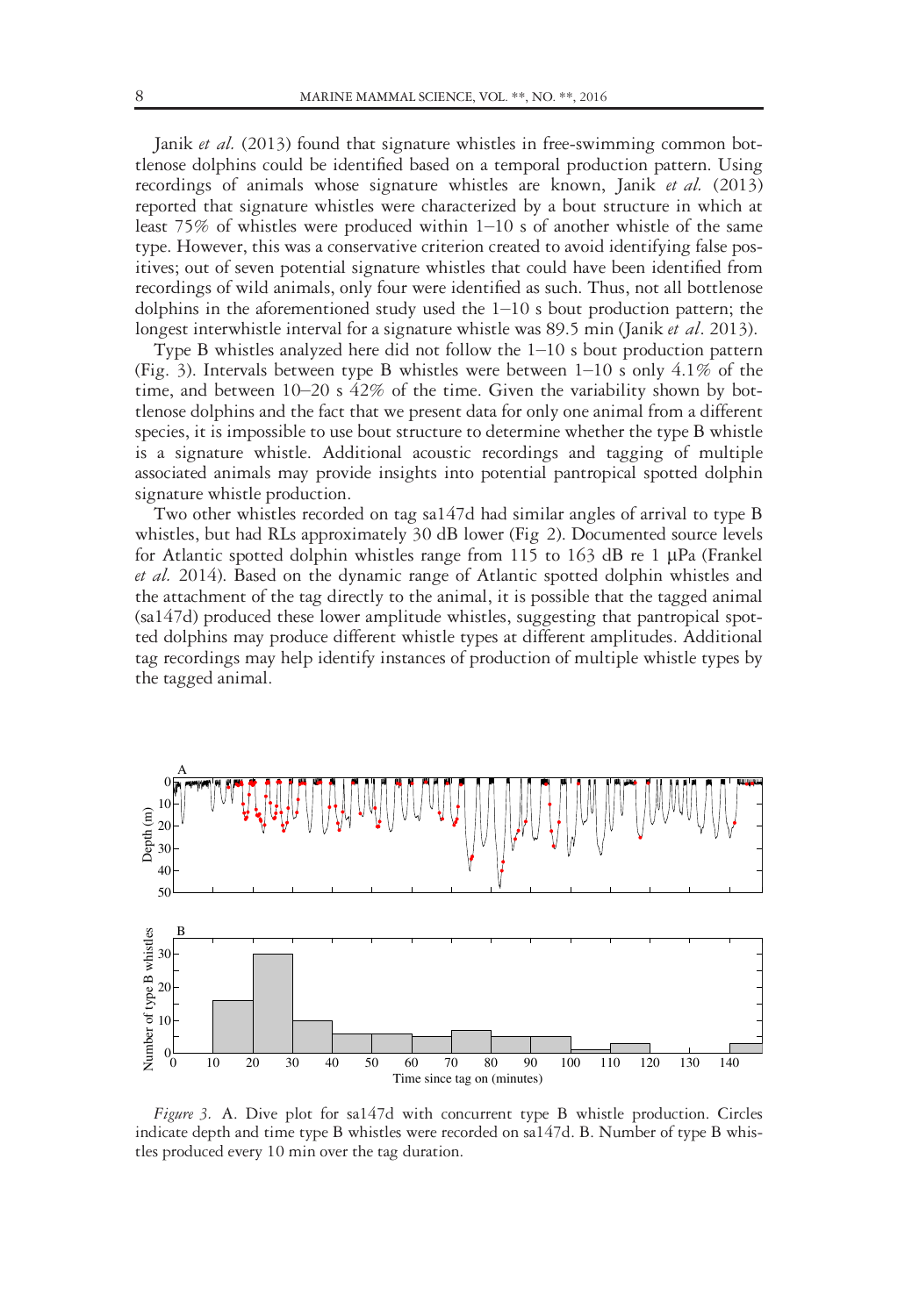Janik et al. (2013) found that signature whistles in free-swimming common bottlenose dolphins could be identified based on a temporal production pattern. Using recordings of animals whose signature whistles are known, Janik et al. (2013) reported that signature whistles were characterized by a bout structure in which at least 75% of whistles were produced within 1–10 s of another whistle of the same type. However, this was a conservative criterion created to avoid identifying false positives; out of seven potential signature whistles that could have been identified from recordings of wild animals, only four were identified as such. Thus, not all bottlenose dolphins in the aforementioned study used the 1–10 s bout production pattern; the longest interwhistle interval for a signature whistle was 89.5 min (Janik et al. 2013).

Type B whistles analyzed here did not follow the 1–10 s bout production pattern (Fig. 3). Intervals between type B whistles were between 1–10 s only 4.1% of the time, and between  $10-20$  s  $42\%$  of the time. Given the variability shown by bottlenose dolphins and the fact that we present data for only one animal from a different species, it is impossible to use bout structure to determine whether the type B whistle is a signature whistle. Additional acoustic recordings and tagging of multiple associated animals may provide insights into potential pantropical spotted dolphin signature whistle production.

Two other whistles recorded on tag sa147d had similar angles of arrival to type B whistles, but had RLs approximately 30 dB lower (Fig 2). Documented source levels for Atlantic spotted dolphin whistles range from 115 to 163 dB re 1  $\mu$ Pa (Frankel et al. 2014). Based on the dynamic range of Atlantic spotted dolphin whistles and the attachment of the tag directly to the animal, it is possible that the tagged animal (sa147d) produced these lower amplitude whistles, suggesting that pantropical spotted dolphins may produce different whistle types at different amplitudes. Additional tag recordings may help identify instances of production of multiple whistle types by the tagged animal.



Figure 3. A. Dive plot for sa147d with concurrent type B whistle production. Circles indicate depth and time type B whistles were recorded on sa147d. B. Number of type B whistles produced every 10 min over the tag duration.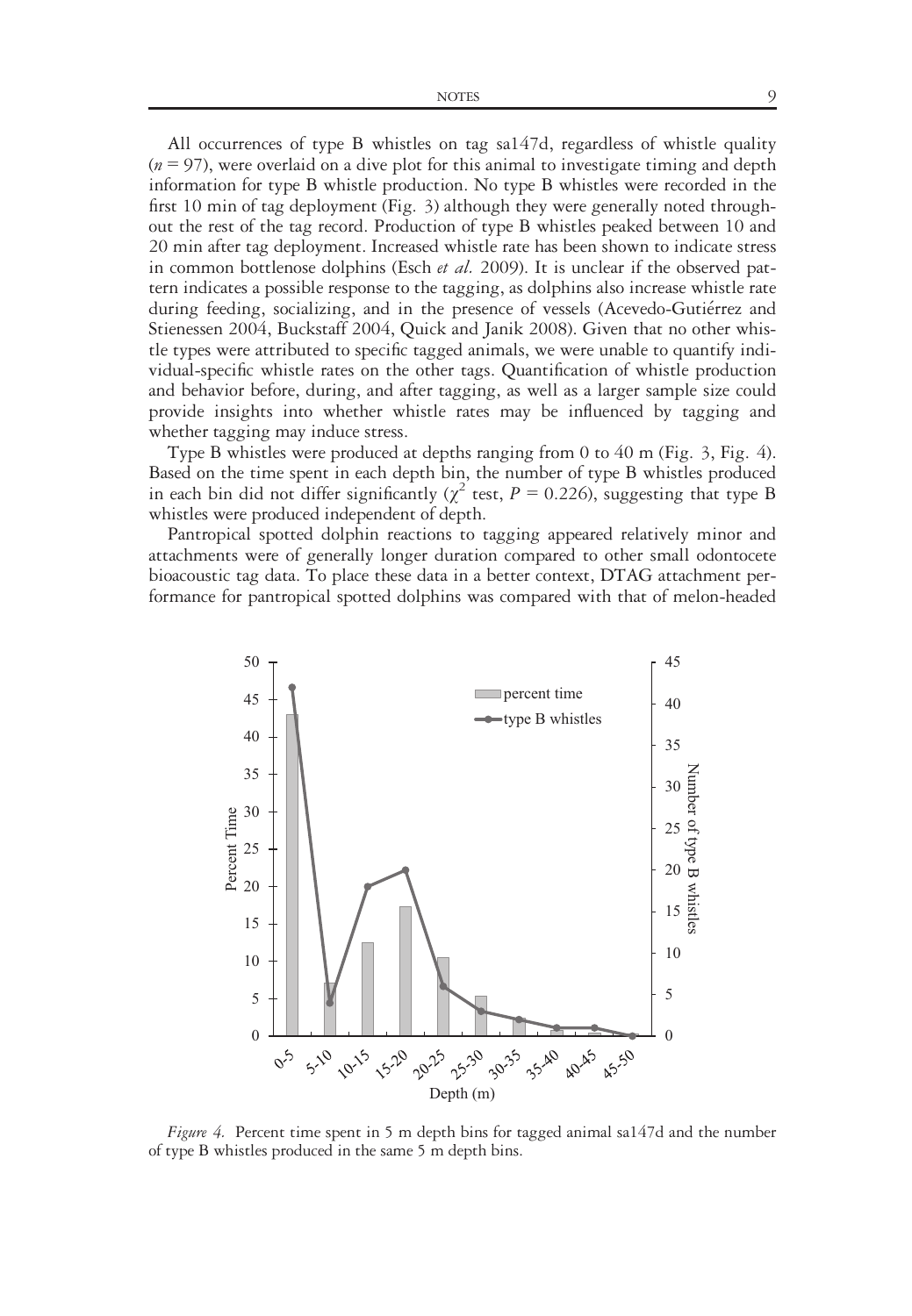NOTES 9

All occurrences of type B whistles on tag sa147d, regardless of whistle quality  $(n = 97)$ , were overlaid on a dive plot for this animal to investigate timing and depth information for type B whistle production. No type B whistles were recorded in the first 10 min of tag deployment (Fig. 3) although they were generally noted throughout the rest of the tag record. Production of type B whistles peaked between 10 and 20 min after tag deployment. Increased whistle rate has been shown to indicate stress in common bottlenose dolphins (Esch et al. 2009). It is unclear if the observed pattern indicates a possible response to the tagging, as dolphins also increase whistle rate during feeding, socializing, and in the presence of vessels (Acevedo-Gutiérrez and Stienessen 2004, Buckstaff 2004, Quick and Janik 2008). Given that no other whistle types were attributed to specific tagged animals, we were unable to quantify individual-specific whistle rates on the other tags. Quantification of whistle production and behavior before, during, and after tagging, as well as a larger sample size could provide insights into whether whistle rates may be influenced by tagging and whether tagging may induce stress.

Type B whistles were produced at depths ranging from 0 to 40 m (Fig. 3, Fig. 4). Based on the time spent in each depth bin, the number of type B whistles produced in each bin did not differ significantly ( $\chi^2$  test,  $P = 0.226$ ), suggesting that type B whistles were produced independent of depth.

Pantropical spotted dolphin reactions to tagging appeared relatively minor and attachments were of generally longer duration compared to other small odontocete bioacoustic tag data. To place these data in a better context, DTAG attachment performance for pantropical spotted dolphins was compared with that of melon-headed



Figure 4. Percent time spent in 5 m depth bins for tagged animal sa147d and the number of type B whistles produced in the same 5 m depth bins.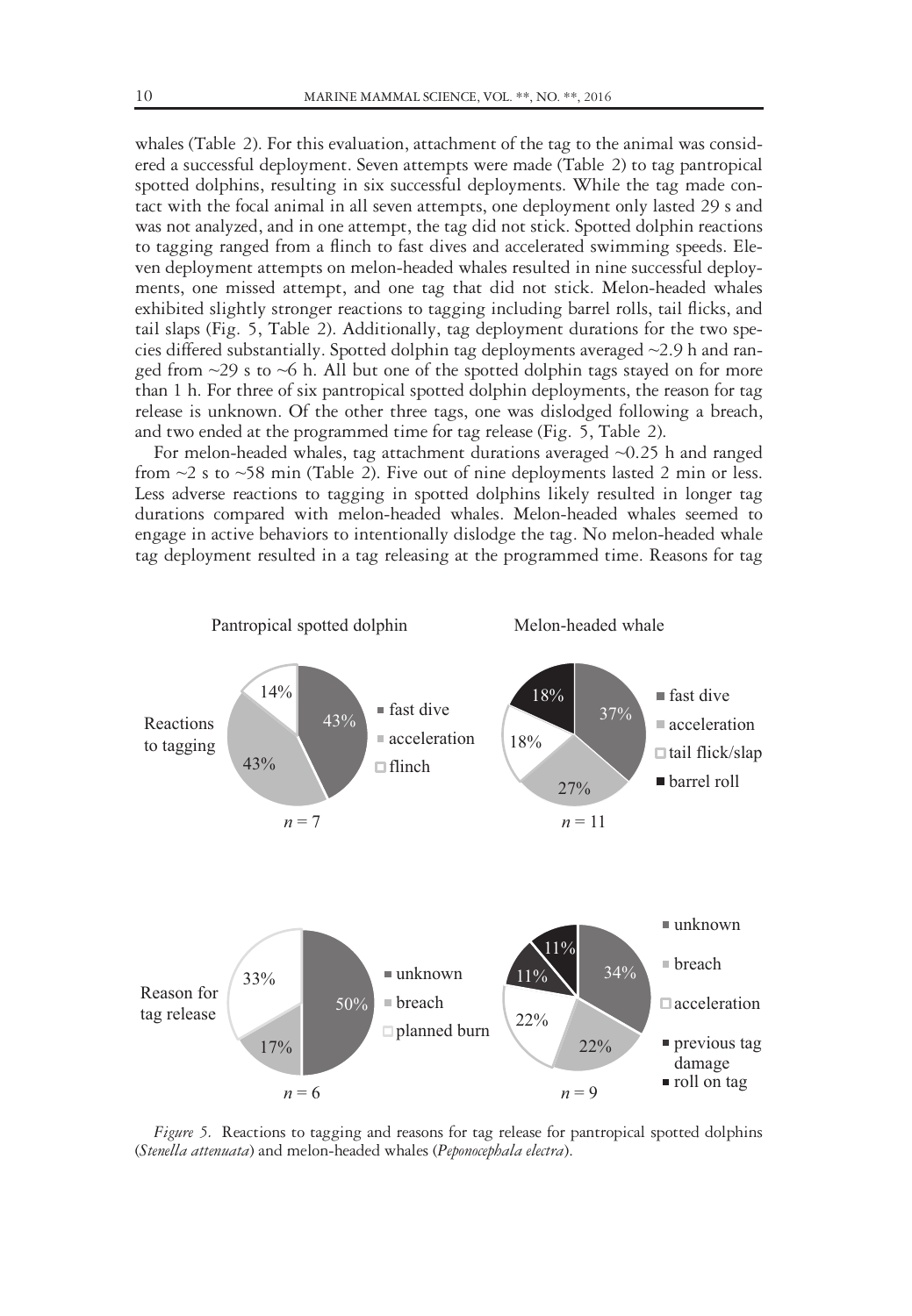whales (Table 2). For this evaluation, attachment of the tag to the animal was considered a successful deployment. Seven attempts were made (Table 2) to tag pantropical spotted dolphins, resulting in six successful deployments. While the tag made contact with the focal animal in all seven attempts, one deployment only lasted 29 s and was not analyzed, and in one attempt, the tag did not stick. Spotted dolphin reactions to tagging ranged from a flinch to fast dives and accelerated swimming speeds. Eleven deployment attempts on melon-headed whales resulted in nine successful deployments, one missed attempt, and one tag that did not stick. Melon-headed whales exhibited slightly stronger reactions to tagging including barrel rolls, tail flicks, and tail slaps (Fig. 5, Table 2). Additionally, tag deployment durations for the two species differed substantially. Spotted dolphin tag deployments averaged ~2.9 h and ranged from  $\sim$ 29 s to  $\sim$ 6 h. All but one of the spotted dolphin tags stayed on for more than 1 h. For three of six pantropical spotted dolphin deployments, the reason for tag release is unknown. Of the other three tags, one was dislodged following a breach, and two ended at the programmed time for tag release (Fig. 5, Table 2).

For melon-headed whales, tag attachment durations averaged ~0.25 h and ranged from  $\sim$ 2 s to  $\sim$ 58 min (Table 2). Five out of nine deployments lasted 2 min or less. Less adverse reactions to tagging in spotted dolphins likely resulted in longer tag durations compared with melon-headed whales. Melon-headed whales seemed to engage in active behaviors to intentionally dislodge the tag. No melon-headed whale tag deployment resulted in a tag releasing at the programmed time. Reasons for tag



Figure 5. Reactions to tagging and reasons for tag release for pantropical spotted dolphins (Stenella attenuata) and melon-headed whales (Peponocephala electra).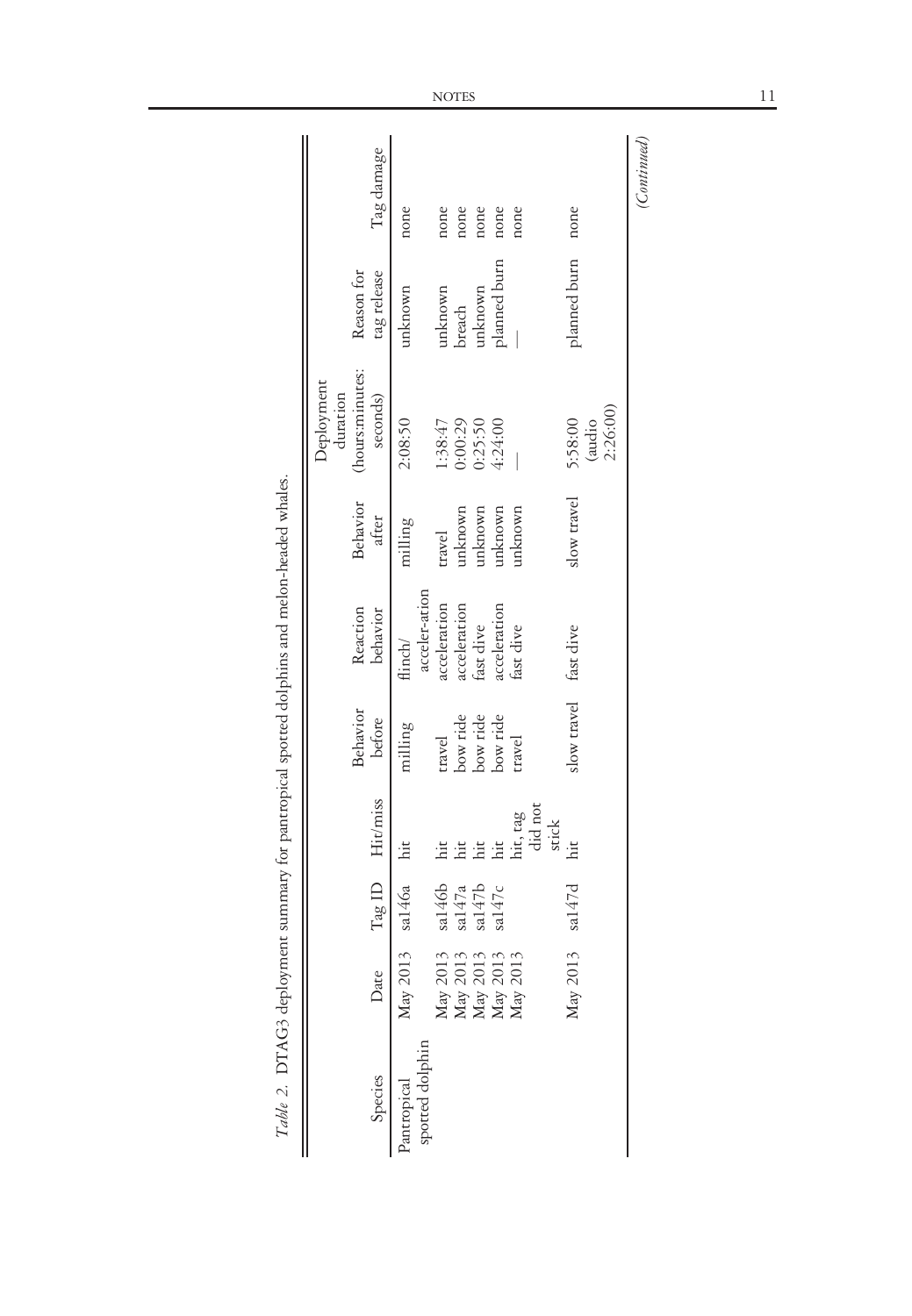| Species                        | Date                                                                                           |                                                           | Tag ID Hit/miss                                          | <b>Behavior</b><br>before                                                                | Reaction<br>behavior                                                                               | Behavior<br>after                                                          | (hours:minutes:<br>Deployment<br>duration<br>seconds)                                | Reason for<br>tag release                                                     | Tag damage                                           |
|--------------------------------|------------------------------------------------------------------------------------------------|-----------------------------------------------------------|----------------------------------------------------------|------------------------------------------------------------------------------------------|----------------------------------------------------------------------------------------------------|----------------------------------------------------------------------------|--------------------------------------------------------------------------------------|-------------------------------------------------------------------------------|------------------------------------------------------|
| spotted dolphin<br>Pantropical | May 2013 sal $46a$ hit<br>May 2013<br>May 2013<br>May 2013<br>May 2013<br>May 2013<br>May 2013 | sa146b<br>sa147d<br>$\frac{\text{sal}47a}{\text{sal}47b}$ | hit, tag<br>did not<br>stick<br>a<br>E a a<br>iit<br>hit | slow travel fast dive<br>travel<br>bow ride<br>bow ride<br>bow ride<br>milling<br>travel | acceler-ation<br>acceleration<br>acceleration<br>acceleration<br>fast dive<br>fast dive<br>flinch/ | slow travel<br>unknown<br>unknown<br>mknown<br>unknown<br>milling<br>ravel | 2:26:00)<br>2:08:50<br>5:58:00<br>0:00:29<br>0:25:50<br>(audio<br>1:38:47<br>4:24:00 | planned burn<br>planned burn<br><i>aknown</i><br>unknown<br>breach<br>inknown | none<br>none<br>none<br>none<br>none<br>none<br>none |
|                                |                                                                                                |                                                           |                                                          |                                                                                          |                                                                                                    |                                                                            |                                                                                      |                                                                               | (Continued)                                          |

Table 2. DTAG3 deployment summary for pantropical spotted dolphins and melon-headed whales. Table 2. DTAG3 deployment summary for pantropical spotted dolphins and melon-headed whales.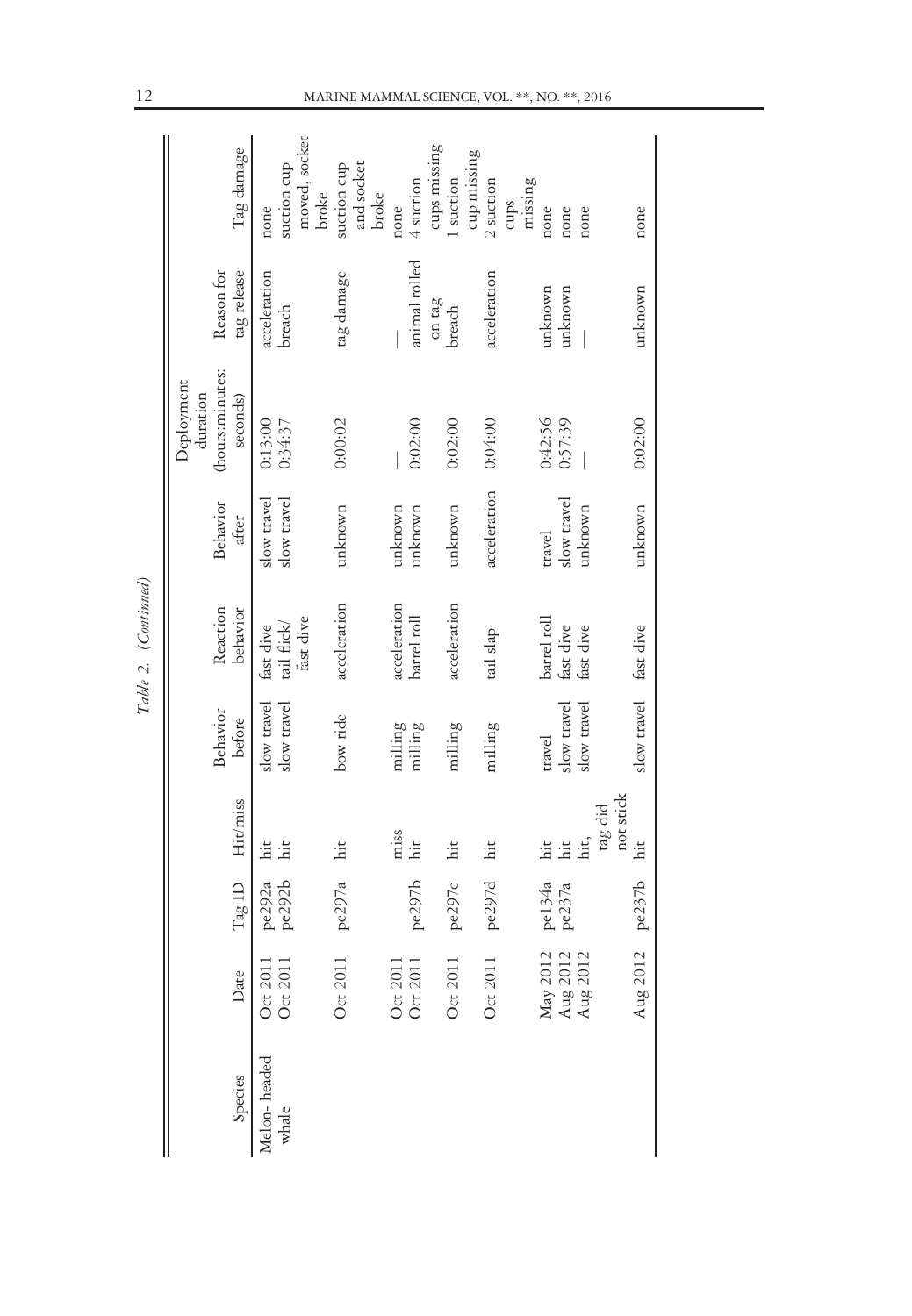|                       |                                  |                  |                             |                            |                                       |                            | Deployment<br>duration      |                           |                                               |
|-----------------------|----------------------------------|------------------|-----------------------------|----------------------------|---------------------------------------|----------------------------|-----------------------------|---------------------------|-----------------------------------------------|
| Species               | Date                             | TagID            | Hit/miss                    | Behavior<br>before         | Reaction<br>behavior                  | Behavior<br>after          | (hours:minutes:<br>seconds) | Reason for<br>tag release | Tag damage                                    |
| Melon-headed<br>whale | Oct 2011<br>Oct 201              | pe292b<br>pe292a | hit<br>hit                  | slow travel<br>slow travel | fast dive<br>tail flick/<br>fast dive | slow travel<br>slow travel | 0:13:00<br>0:34:37          | acceleration<br>breach    | moved, socket<br>suction cup<br>broke<br>none |
|                       | Oct 2011                         | pe297a           | hit                         | bow ride                   | acceleration                          | unknown                    | 0:00:02                     | tag damage                | and socket<br>suction cup<br>broke            |
|                       | Oct 2011<br>Oct 2011             |                  | miss<br>hit                 | milling<br>milling         | acceleration                          | unknown                    | 0:02:00                     | animal rolled             | none                                          |
|                       | Oct 2011                         | pe297b<br>pe297c | hit                         | milling                    | acceleration<br>barrel roll           | unknown<br>unknown         | 0:02:00                     | on tag<br>breach          | cups missing<br>1 suction<br>4 suction        |
|                       | Oct 2011                         | pe297d           | hit                         | milling                    | tail slap                             | acceleration               | 0.04:00                     | acceleration              | cup missing<br>2 suction                      |
|                       |                                  | pe134a           | iit                         | travel                     | barrel roll                           | travel                     | 0:42:56                     | unknown                   | missing<br>cups<br>none                       |
|                       | May 2012<br>Aug 2012<br>Aug 2012 | pe237a           | hit,<br>hit                 | slow travel<br>slow travel | fast dive<br>fast dive                | slow travel<br>unknown     | 0:57:39                     | unknown                   | none<br>none                                  |
|                       | Aug 2012                         | pe237b           | not stick<br>tag did<br>hit | slow travel                | fast dive                             | unknown                    | 0:02:00                     | unknown                   | none                                          |

Table 2. (Continued)

Table 2. (Continued)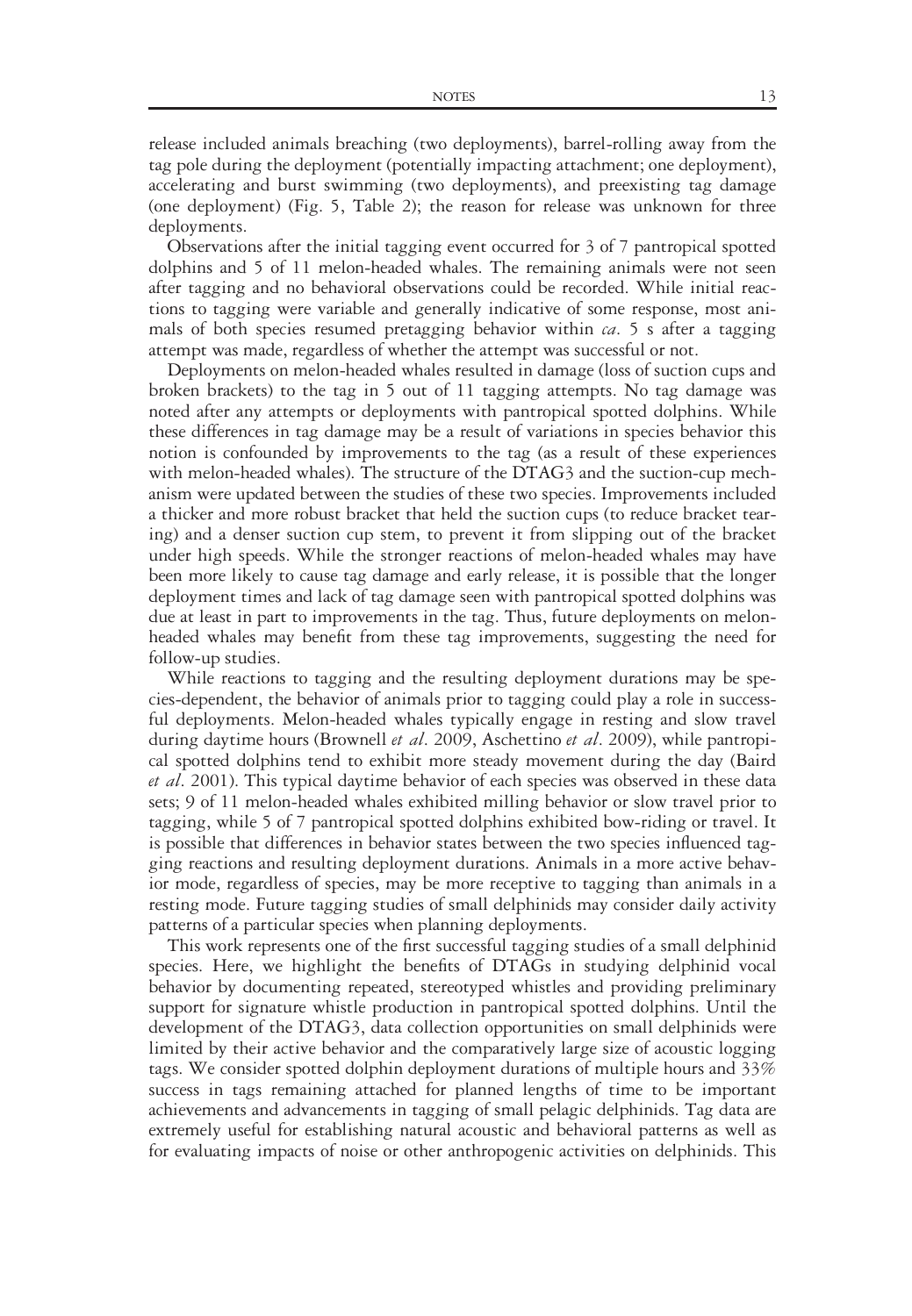release included animals breaching (two deployments), barrel-rolling away from the tag pole during the deployment (potentially impacting attachment; one deployment), accelerating and burst swimming (two deployments), and preexisting tag damage (one deployment) (Fig. 5, Table 2); the reason for release was unknown for three deployments.

Observations after the initial tagging event occurred for 3 of 7 pantropical spotted dolphins and 5 of 11 melon-headed whales. The remaining animals were not seen after tagging and no behavioral observations could be recorded. While initial reactions to tagging were variable and generally indicative of some response, most animals of both species resumed pretagging behavior within  $ca$ . 5 s after a tagging attempt was made, regardless of whether the attempt was successful or not.

Deployments on melon-headed whales resulted in damage (loss of suction cups and broken brackets) to the tag in 5 out of 11 tagging attempts. No tag damage was noted after any attempts or deployments with pantropical spotted dolphins. While these differences in tag damage may be a result of variations in species behavior this notion is confounded by improvements to the tag (as a result of these experiences with melon-headed whales). The structure of the DTAG3 and the suction-cup mechanism were updated between the studies of these two species. Improvements included a thicker and more robust bracket that held the suction cups (to reduce bracket tearing) and a denser suction cup stem, to prevent it from slipping out of the bracket under high speeds. While the stronger reactions of melon-headed whales may have been more likely to cause tag damage and early release, it is possible that the longer deployment times and lack of tag damage seen with pantropical spotted dolphins was due at least in part to improvements in the tag. Thus, future deployments on melonheaded whales may benefit from these tag improvements, suggesting the need for follow-up studies.

While reactions to tagging and the resulting deployment durations may be species-dependent, the behavior of animals prior to tagging could play a role in successful deployments. Melon-headed whales typically engage in resting and slow travel during daytime hours (Brownell *et al.* 2009, Aschettino *et al.* 2009), while pantropical spotted dolphins tend to exhibit more steady movement during the day (Baird et al. 2001). This typical daytime behavior of each species was observed in these data sets; 9 of 11 melon-headed whales exhibited milling behavior or slow travel prior to tagging, while 5 of 7 pantropical spotted dolphins exhibited bow-riding or travel. It is possible that differences in behavior states between the two species influenced tagging reactions and resulting deployment durations. Animals in a more active behavior mode, regardless of species, may be more receptive to tagging than animals in a resting mode. Future tagging studies of small delphinids may consider daily activity patterns of a particular species when planning deployments.

This work represents one of the first successful tagging studies of a small delphinid species. Here, we highlight the benefits of DTAGs in studying delphinid vocal behavior by documenting repeated, stereotyped whistles and providing preliminary support for signature whistle production in pantropical spotted dolphins. Until the development of the DTAG3, data collection opportunities on small delphinids were limited by their active behavior and the comparatively large size of acoustic logging tags. We consider spotted dolphin deployment durations of multiple hours and 33% success in tags remaining attached for planned lengths of time to be important achievements and advancements in tagging of small pelagic delphinids. Tag data are extremely useful for establishing natural acoustic and behavioral patterns as well as for evaluating impacts of noise or other anthropogenic activities on delphinids. This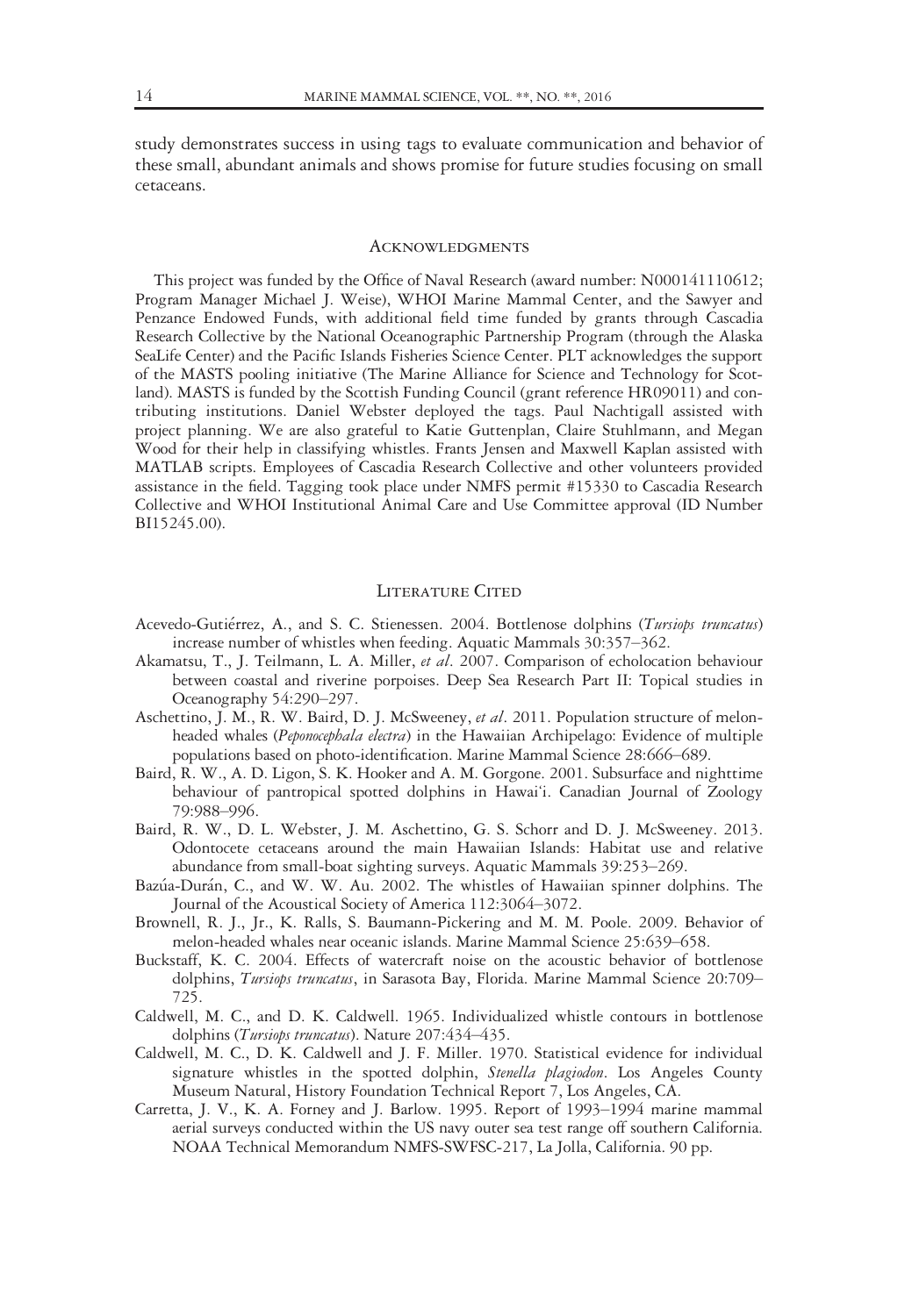study demonstrates success in using tags to evaluate communication and behavior of these small, abundant animals and shows promise for future studies focusing on small cetaceans.

#### Acknowledgments

This project was funded by the Office of Naval Research (award number: N000141110612; Program Manager Michael J. Weise), WHOI Marine Mammal Center, and the Sawyer and Penzance Endowed Funds, with additional field time funded by grants through Cascadia Research Collective by the National Oceanographic Partnership Program (through the Alaska SeaLife Center) and the Pacific Islands Fisheries Science Center. PLT acknowledges the support of the MASTS pooling initiative (The Marine Alliance for Science and Technology for Scotland). MASTS is funded by the Scottish Funding Council (grant reference HR09011) and contributing institutions. Daniel Webster deployed the tags. Paul Nachtigall assisted with project planning. We are also grateful to Katie Guttenplan, Claire Stuhlmann, and Megan Wood for their help in classifying whistles. Frants Jensen and Maxwell Kaplan assisted with MATLAB scripts. Employees of Cascadia Research Collective and other volunteers provided assistance in the field. Tagging took place under NMFS permit #15330 to Cascadia Research Collective and WHOI Institutional Animal Care and Use Committee approval (ID Number BI15245.00).

### LITERATURE CITED

- Acevedo-Gutiérrez, A., and S. C. Stienessen. 2004. Bottlenose dolphins (Tursiops truncatus) increase number of whistles when feeding. Aquatic Mammals 30:357–362.
- Akamatsu, T., J. Teilmann, L. A. Miller, et al. 2007. Comparison of echolocation behaviour between coastal and riverine porpoises. Deep Sea Research Part II: Topical studies in Oceanography 54:290–297.
- Aschettino, J. M., R. W. Baird, D. J. McSweeney, et al. 2011. Population structure of melonheaded whales (Peponocephala electra) in the Hawaiian Archipelago: Evidence of multiple populations based on photo-identification. Marine Mammal Science 28:666–689.
- Baird, R. W., A. D. Ligon, S. K. Hooker and A. M. Gorgone. 2001. Subsurface and nighttime behaviour of pantropical spotted dolphins in Hawai'i. Canadian Journal of Zoology 79:988–996.
- Baird, R. W., D. L. Webster, J. M. Aschettino, G. S. Schorr and D. J. McSweeney. 2013. Odontocete cetaceans around the main Hawaiian Islands: Habitat use and relative abundance from small-boat sighting surveys. Aquatic Mammals 39:253–269.
- Bazúa-Durán, C., and W. W. Au. 2002. The whistles of Hawaiian spinner dolphins. The Journal of the Acoustical Society of America 112:3064–3072.
- Brownell, R. J., Jr., K. Ralls, S. Baumann-Pickering and M. M. Poole. 2009. Behavior of melon-headed whales near oceanic islands. Marine Mammal Science 25:639–658.
- Buckstaff, K. C. 2004. Effects of watercraft noise on the acoustic behavior of bottlenose dolphins, Tursiops truncatus, in Sarasota Bay, Florida. Marine Mammal Science 20:709-725.
- Caldwell, M. C., and D. K. Caldwell. 1965. Individualized whistle contours in bottlenose dolphins (Tursiops truncatus). Nature 207:434-435.
- Caldwell, M. C., D. K. Caldwell and J. F. Miller. 1970. Statistical evidence for individual signature whistles in the spotted dolphin, Stenella plagiodon. Los Angeles County Museum Natural, History Foundation Technical Report 7, Los Angeles, CA.
- Carretta, J. V., K. A. Forney and J. Barlow. 1995. Report of 1993–1994 marine mammal aerial surveys conducted within the US navy outer sea test range off southern California. NOAA Technical Memorandum NMFS-SWFSC-217, La Jolla, California. 90 pp.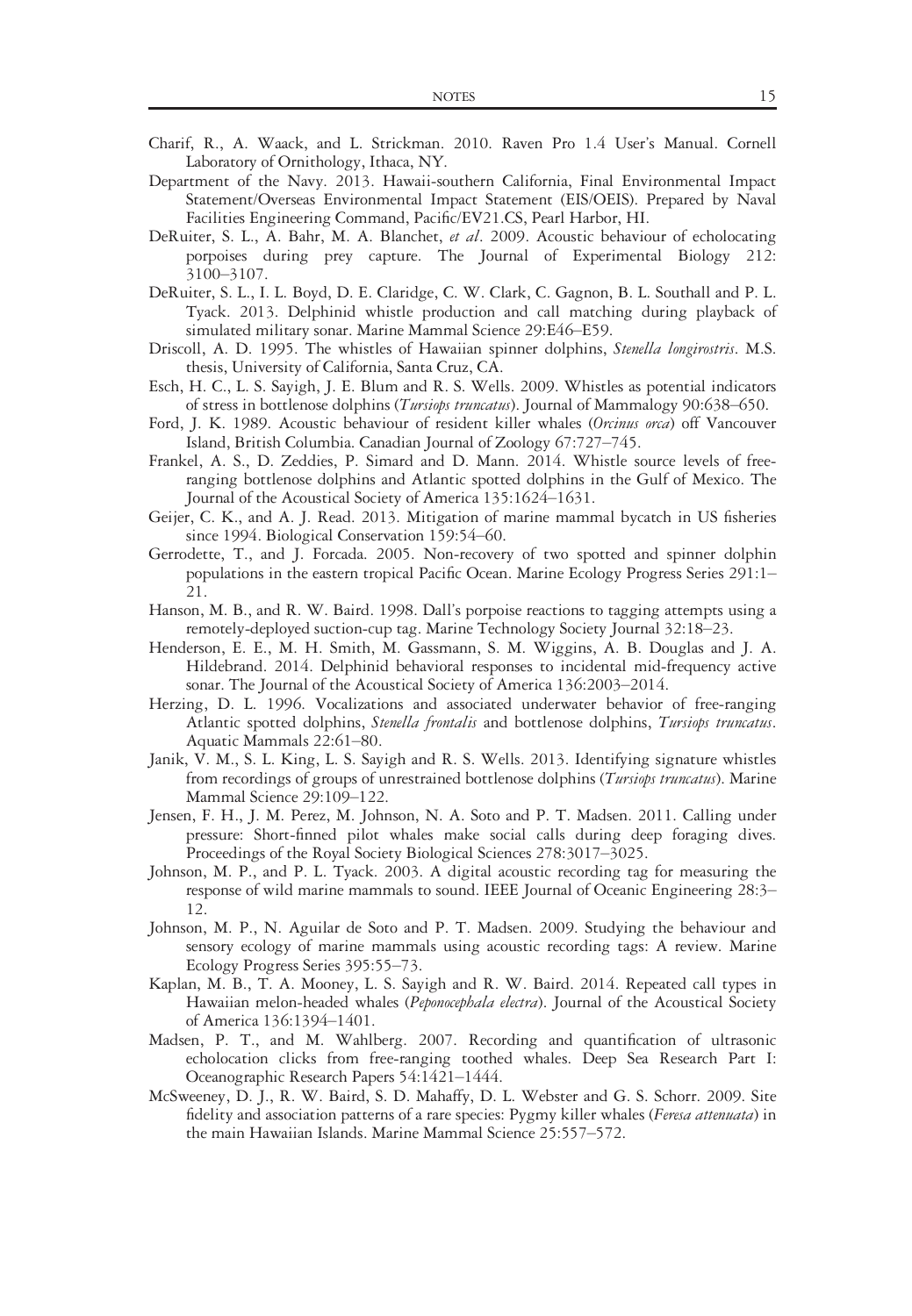- Charif, R., A. Waack, and L. Strickman. 2010. Raven Pro 1.4 User's Manual. Cornell Laboratory of Ornithology, Ithaca, NY.
- Department of the Navy. 2013. Hawaii-southern California, Final Environmental Impact Statement/Overseas Environmental Impact Statement (EIS/OEIS). Prepared by Naval Facilities Engineering Command, Pacific/EV21.CS, Pearl Harbor, HI.
- DeRuiter, S. L., A. Bahr, M. A. Blanchet, et al. 2009. Acoustic behaviour of echolocating porpoises during prey capture. The Journal of Experimental Biology 212: 3100–3107.
- DeRuiter, S. L., I. L. Boyd, D. E. Claridge, C. W. Clark, C. Gagnon, B. L. Southall and P. L. Tyack. 2013. Delphinid whistle production and call matching during playback of simulated military sonar. Marine Mammal Science 29:E46–E59.
- Driscoll, A. D. 1995. The whistles of Hawaiian spinner dolphins, Stenella longirostris. M.S. thesis, University of California, Santa Cruz, CA.
- Esch, H. C., L. S. Sayigh, J. E. Blum and R. S. Wells. 2009. Whistles as potential indicators of stress in bottlenose dolphins (Tursiops truncatus). Journal of Mammalogy 90:638-650.
- Ford, J. K. 1989. Acoustic behaviour of resident killer whales (Orcinus orca) off Vancouver Island, British Columbia. Canadian Journal of Zoology 67:727–745.
- Frankel, A. S., D. Zeddies, P. Simard and D. Mann. 2014. Whistle source levels of freeranging bottlenose dolphins and Atlantic spotted dolphins in the Gulf of Mexico. The Journal of the Acoustical Society of America 135:1624–1631.
- Geijer, C. K., and A. J. Read. 2013. Mitigation of marine mammal bycatch in US fisheries since 1994. Biological Conservation 159:54–60.
- Gerrodette, T., and J. Forcada. 2005. Non-recovery of two spotted and spinner dolphin populations in the eastern tropical Pacific Ocean. Marine Ecology Progress Series 291:1– 21.
- Hanson, M. B., and R. W. Baird. 1998. Dall's porpoise reactions to tagging attempts using a remotely-deployed suction-cup tag. Marine Technology Society Journal 32:18–23.
- Henderson, E. E., M. H. Smith, M. Gassmann, S. M. Wiggins, A. B. Douglas and J. A. Hildebrand. 2014. Delphinid behavioral responses to incidental mid-frequency active sonar. The Journal of the Acoustical Society of America 136:2003–2014.
- Herzing, D. L. 1996. Vocalizations and associated underwater behavior of free-ranging Atlantic spotted dolphins, Stenella frontalis and bottlenose dolphins, Tursiops truncatus. Aquatic Mammals 22:61–80.
- Janik, V. M., S. L. King, L. S. Sayigh and R. S. Wells. 2013. Identifying signature whistles from recordings of groups of unrestrained bottlenose dolphins (Tursiops truncatus). Marine Mammal Science 29:109–122.
- Jensen, F. H., J. M. Perez, M. Johnson, N. A. Soto and P. T. Madsen. 2011. Calling under pressure: Short-finned pilot whales make social calls during deep foraging dives. Proceedings of the Royal Society Biological Sciences 278:3017–3025.
- Johnson, M. P., and P. L. Tyack. 2003. A digital acoustic recording tag for measuring the response of wild marine mammals to sound. IEEE Journal of Oceanic Engineering 28:3– 12.
- Johnson, M. P., N. Aguilar de Soto and P. T. Madsen. 2009. Studying the behaviour and sensory ecology of marine mammals using acoustic recording tags: A review. Marine Ecology Progress Series 395:55–73.
- Kaplan, M. B., T. A. Mooney, L. S. Sayigh and R. W. Baird. 2014. Repeated call types in Hawaiian melon-headed whales (Peponocephala electra). Journal of the Acoustical Society of America 136:1394–1401.
- Madsen, P. T., and M. Wahlberg. 2007. Recording and quantification of ultrasonic echolocation clicks from free-ranging toothed whales. Deep Sea Research Part I: Oceanographic Research Papers 54:1421–1444.
- McSweeney, D. J., R. W. Baird, S. D. Mahaffy, D. L. Webster and G. S. Schorr. 2009. Site fidelity and association patterns of a rare species: Pygmy killer whales (Feresa attenuata) in the main Hawaiian Islands. Marine Mammal Science 25:557–572.